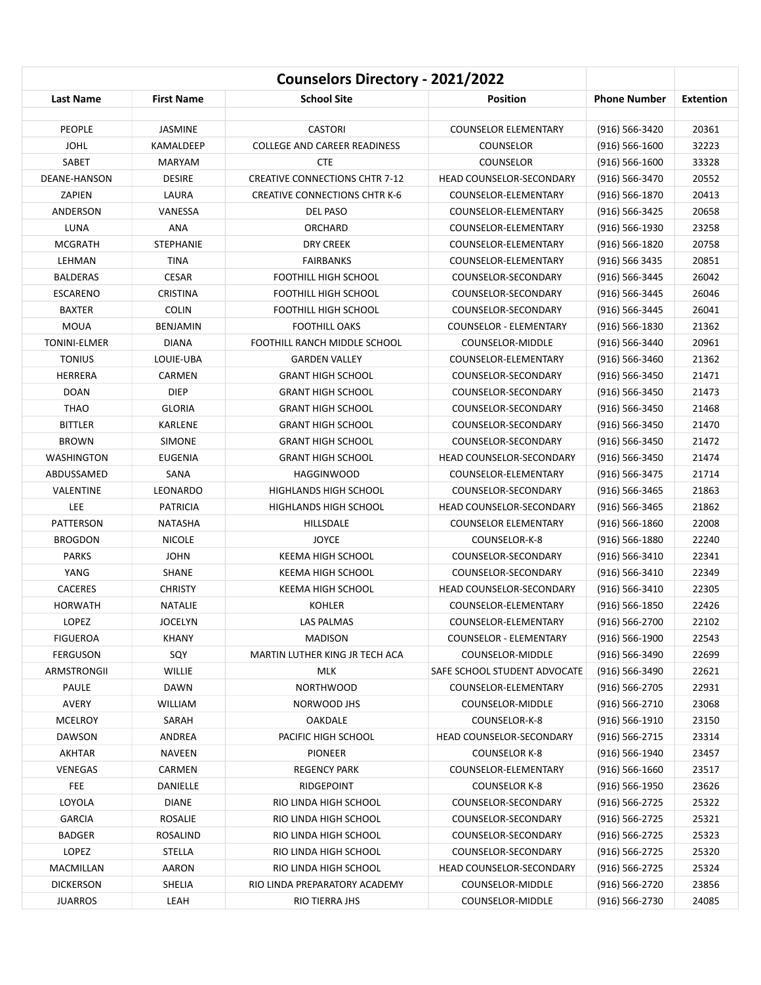| Counselors Directory - 2021/2022 |                   |                                       |                                 |                     |                  |
|----------------------------------|-------------------|---------------------------------------|---------------------------------|---------------------|------------------|
| Last Name                        | <b>First Name</b> | <b>School Site</b>                    | Position                        | <b>Phone Number</b> | <b>Extention</b> |
| <b>PEOPLE</b>                    | JASMINE           | <b>CASTORI</b>                        | <b>COUNSELOR ELEMENTARY</b>     | $(916) 566 - 3420$  | 20361            |
| <b>JOHL</b>                      | KAMALDEEP         | <b>COLLEGE AND CAREER READINESS</b>   | <b>COUNSELOR</b>                | $(916) 566 - 1600$  | 32223            |
| SABET                            | <b>MARYAM</b>     | <b>CTE</b>                            | COUNSELOR                       | $(916) 566 - 1600$  | 33328            |
| DEANE-HANSON                     | <b>DESIRE</b>     | <b>CREATIVE CONNECTIONS CHTR 7-12</b> | HEAD COUNSELOR-SECONDARY        | $(916) 566 - 3470$  | 20552            |
| ZAPIEN                           | LAURA             | <b>CREATIVE CONNECTIONS CHTR K-6</b>  | COUNSELOR-ELEMENTARY            | $(916) 566 - 1870$  | 20413            |
| ANDERSON                         | VANESSA           | DEL PASO                              | COUNSELOR-ELEMENTARY            | (916) 566-3425      | 20658            |
| LUNA                             | ANA               | ORCHARD                               | COUNSELOR-ELEMENTARY            | $(916) 566 - 1930$  | 23258            |
| <b>MCGRATH</b>                   | <b>STEPHANIE</b>  | <b>DRY CREEK</b>                      | COUNSELOR-ELEMENTARY            | $(916) 566 - 1820$  | 20758            |
| LEHMAN                           | <b>TINA</b>       | <b>FAIRBANKS</b>                      | COUNSELOR-ELEMENTARY            | (916) 566 3435      | 20851            |
| <b>BALDERAS</b>                  | <b>CESAR</b>      | <b>FOOTHILL HIGH SCHOOL</b>           | COUNSELOR-SECONDARY             | $(916) 566 - 3445$  | 26042            |
| <b>ESCARENO</b>                  | <b>CRISTINA</b>   | <b>FOOTHILL HIGH SCHOOL</b>           | COUNSELOR-SECONDARY             | (916) 566-3445      | 26046            |
| <b>BAXTER</b>                    | <b>COLIN</b>      | <b>FOOTHILL HIGH SCHOOL</b>           | COUNSELOR-SECONDARY             | $(916) 566 - 3445$  | 26041            |
| <b>MOUA</b>                      | <b>BENJAMIN</b>   | <b>FOOTHILL OAKS</b>                  | <b>COUNSELOR - ELEMENTARY</b>   | (916) 566-1830      | 21362            |
| <b>TONINI-ELMER</b>              | <b>DIANA</b>      | FOOTHILL RANCH MIDDLE SCHOOL          | COUNSELOR-MIDDLE                | (916) 566-3440      | 20961            |
| <b>TONIUS</b>                    | LOUIE-UBA         | <b>GARDEN VALLEY</b>                  | COUNSELOR-ELEMENTARY            | (916) 566-3460      | 21362            |
| <b>HERRERA</b>                   | CARMEN            | <b>GRANT HIGH SCHOOL</b>              | COUNSELOR-SECONDARY             | $(916) 566 - 3450$  | 21471            |
| <b>DOAN</b>                      | <b>DIEP</b>       | <b>GRANT HIGH SCHOOL</b>              | COUNSELOR-SECONDARY             | $(916) 566 - 3450$  | 21473            |
| <b>THAO</b>                      | <b>GLORIA</b>     | <b>GRANT HIGH SCHOOL</b>              | COUNSELOR-SECONDARY             | $(916) 566 - 3450$  | 21468            |
| <b>BITTLER</b>                   | KARLENE           | <b>GRANT HIGH SCHOOL</b>              | COUNSELOR-SECONDARY             | $(916) 566 - 3450$  | 21470            |
| <b>BROWN</b>                     | <b>SIMONE</b>     | <b>GRANT HIGH SCHOOL</b>              | COUNSELOR-SECONDARY             | (916) 566-3450      | 21472            |
| <b>WASHINGTON</b>                | <b>EUGENIA</b>    | <b>GRANT HIGH SCHOOL</b>              | <b>HEAD COUNSELOR-SECONDARY</b> | $(916) 566 - 3450$  | 21474            |
| ABDUSSAMED                       | SANA              | <b>HAGGINWOOD</b>                     | COUNSELOR-ELEMENTARY            | $(916) 566 - 3475$  | 21714            |
| VALENTINE                        | LEONARDO          | <b>HIGHLANDS HIGH SCHOOL</b>          | COUNSELOR-SECONDARY             | (916) 566-3465      | 21863            |
| LEE                              | <b>PATRICIA</b>   | <b>HIGHLANDS HIGH SCHOOL</b>          | HEAD COUNSELOR-SECONDARY        | $(916) 566 - 3465$  | 21862            |
| PATTERSON                        | <b>NATASHA</b>    | HILLSDALE                             | <b>COUNSELOR ELEMENTARY</b>     | $(916) 566 - 1860$  | 22008            |
| <b>BROGDON</b>                   | <b>NICOLE</b>     | <b>JOYCE</b>                          | COUNSELOR-K-8                   | $(916) 566 - 1880$  | 22240            |
| <b>PARKS</b>                     | <b>JOHN</b>       | <b>KEEMA HIGH SCHOOL</b>              | COUNSELOR-SECONDARY             | $(916) 566 - 3410$  | 22341            |
| YANG                             | <b>SHANE</b>      | KEEMA HIGH SCHOOL                     | COUNSELOR-SECONDARY             | (916) 566-3410      | 22349            |
| <b>CACERES</b>                   | <b>CHRISTY</b>    | KEEMA HIGH SCHOOL                     | HEAD COUNSELOR-SECONDARY        | $(916) 566 - 3410$  | 22305            |
| <b>HORWATH</b>                   | <b>NATALIE</b>    | <b>KOHLER</b>                         | COUNSELOR-ELEMENTARY            | $(916) 566 - 1850$  | 22426            |
| LOPEZ                            | <b>JOCELYN</b>    | LAS PALMAS                            | COUNSELOR-ELEMENTARY            | $(916) 566 - 2700$  | 22102            |
| <b>FIGUEROA</b>                  | KHANY             | <b>MADISON</b>                        | COUNSELOR - ELEMENTARY          | $(916) 566 - 1900$  | 22543            |
| <b>FERGUSON</b>                  | SQY               | MARTIN LUTHER KING JR TECH ACA        | COUNSELOR-MIDDLE                | (916) 566-3490      | 22699            |
| ARMSTRONGII                      | <b>WILLIE</b>     | MLK                                   | SAFE SCHOOL STUDENT ADVOCATE    | $(916) 566 - 3490$  | 22621            |
| PAULE                            | <b>DAWN</b>       | <b>NORTHWOOD</b>                      | COUNSELOR-ELEMENTARY            | (916) 566-2705      | 22931            |
| AVERY                            | WILLIAM           | NORWOOD JHS                           | COUNSELOR-MIDDLE                | $(916) 566 - 2710$  | 23068            |
| <b>MCELROY</b>                   | SARAH             | OAKDALE                               | COUNSELOR-K-8                   | $(916) 566 - 1910$  | 23150            |
| DAWSON                           | ANDREA            | PACIFIC HIGH SCHOOL                   | HEAD COUNSELOR-SECONDARY        | $(916) 566 - 2715$  | 23314            |
| <b>AKHTAR</b>                    | NAVEEN            | <b>PIONEER</b>                        | <b>COUNSELOR K-8</b>            | $(916) 566 - 1940$  | 23457            |
| VENEGAS                          | CARMEN            | <b>REGENCY PARK</b>                   | COUNSELOR-ELEMENTARY            | $(916) 566 - 1660$  | 23517            |
| <b>FEE</b>                       | DANIELLE          | RIDGEPOINT                            | <b>COUNSELOR K-8</b>            | (916) 566-1950      | 23626            |
| LOYOLA                           | <b>DIANE</b>      | RIO LINDA HIGH SCHOOL                 | COUNSELOR-SECONDARY             | $(916) 566 - 2725$  | 25322            |
| <b>GARCIA</b>                    | ROSALIE           | RIO LINDA HIGH SCHOOL                 | COUNSELOR-SECONDARY             | $(916) 566 - 2725$  | 25321            |
| <b>BADGER</b>                    | ROSALIND          | RIO LINDA HIGH SCHOOL                 | COUNSELOR-SECONDARY             | $(916) 566 - 2725$  | 25323            |
| LOPEZ                            | STELLA            | RIO LINDA HIGH SCHOOL                 | COUNSELOR-SECONDARY             | $(916) 566 - 2725$  | 25320            |
| MACMILLAN                        | AARON             | RIO LINDA HIGH SCHOOL                 | HEAD COUNSELOR-SECONDARY        | $(916) 566 - 2725$  | 25324            |
| <b>DICKERSON</b>                 | SHELIA            | RIO LINDA PREPARATORY ACADEMY         | COUNSELOR-MIDDLE                | $(916) 566 - 2720$  | 23856            |
| <b>JUARROS</b>                   | LEAH              | RIO TIERRA JHS                        | COUNSELOR-MIDDLE                | $(916) 566 - 2730$  | 24085            |
|                                  |                   |                                       |                                 |                     |                  |